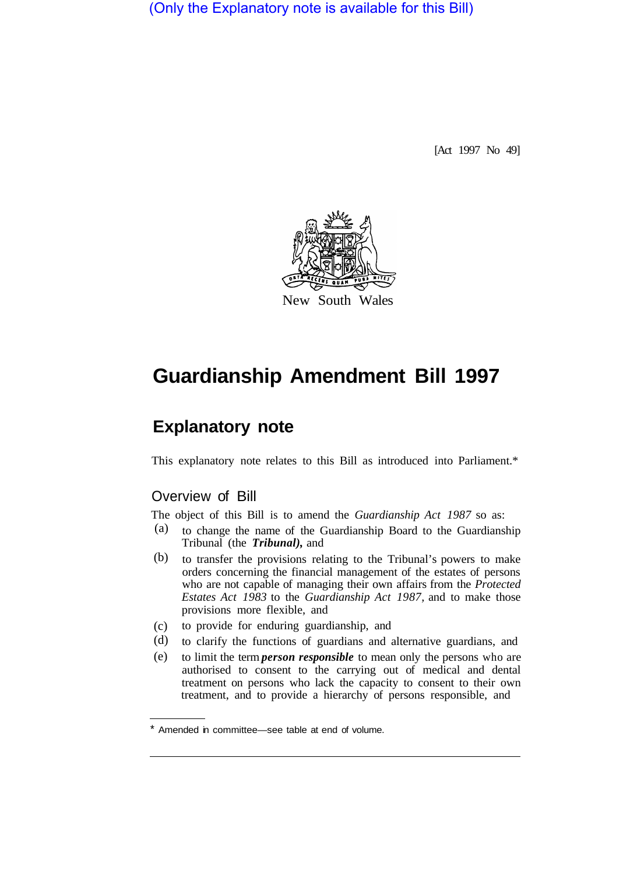(Only the Explanatory note is available for this Bill)

[Act 1997 No 49]



# **Guardianship Amendment Bill 1997**

# **Explanatory note**

This explanatory note relates to this Bill as introduced into Parliament.\*

# Overview of Bill

The object of this Bill is to amend the *Guardianship Act 1987* so as:

- to change the name of the Guardianship Board to the Guardianship Tribunal (the *Tribunal),* and (a)
- to transfer the provisions relating to the Tribunal's powers to make orders concerning the financial management of the estates of persons who are not capable of managing their own affairs from the *Protected Estates Act 1983* to the *Guardianship Act 1987,* and to make those provisions more flexible, and (b)
- to provide for enduring guardianship, and  $(c)$
- to clarify the functions of guardians and alternative guardians, and (d)
- to limit the term *person responsible* to mean only the persons who are authorised to consent to the carrying out of medical and dental treatment on persons who lack the capacity to consent to their own treatment, and to provide a hierarchy of persons responsible, and (e)

Amended in committee—see table at end of volume.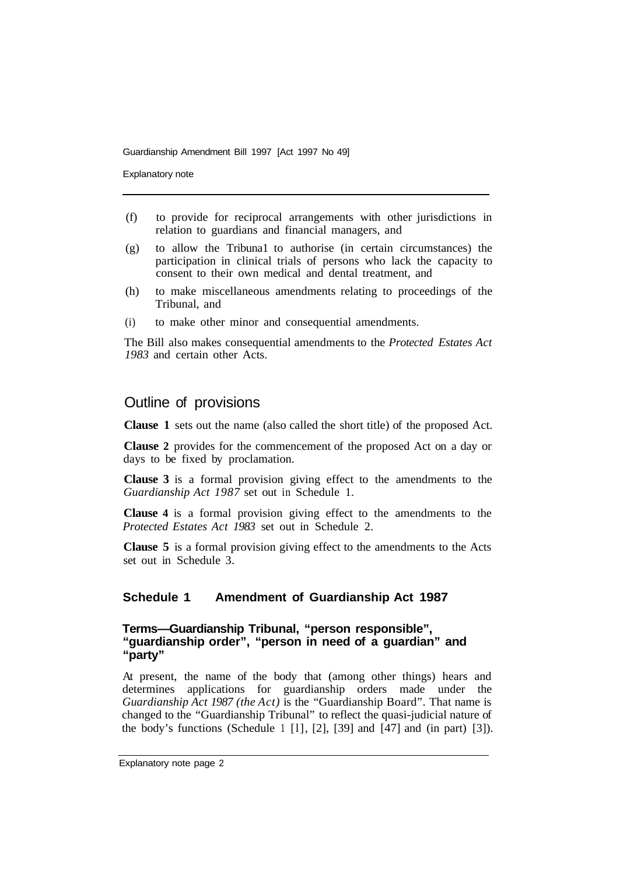Explanatory note

- (f) to provide for reciprocal arrangements with other jurisdictions in relation to guardians and financial managers, and
- (g) to allow the Tribuna1 to authorise (in certain circumstances) the participation in clinical trials of persons who lack the capacity to consent to their own medical and dental treatment, and
- (h) to make miscellaneous amendments relating to proceedings of the Tribunal, and
- (i) to make other minor and consequential amendments.

The Bill also makes consequential amendments to the *Protected Estates Act 1983* and certain other Acts.

# Outline of provisions

**Clause 1** sets out the name (also called the short title) of the proposed Act.

**Clause 2** provides for the commencement of the proposed Act on a day or days to be fixed by proclamation.

**Clause 3** is a formal provision giving effect to the amendments to the *Guardianship Act 1987* set out in Schedule 1.

**Clause 4** is a formal provision giving effect to the amendments to the *Protected Estates Act 1983* set out in Schedule 2.

**Clause 5** is a formal provision giving effect to the amendments to the Acts set out in Schedule 3.

### **Schedule 1 Amendment of Guardianship Act 1987**

# **Terms—Guardianship Tribunal, "person responsible", "guardianship order", "person in need of a guardian" and "party"**

At present, the name of the body that (among other things) hears and determines applications for guardianship orders made under the *Guardianship Act 1987 (the Act)* is the "Guardianship Board". That name is changed to the "Guardianship Tribunal" to reflect the quasi-judicial nature of the body's functions (Schedule 1  $[1]$ ,  $[2]$ ,  $[39]$  and  $[47]$  and (in part)  $[3]$ ).

Explanatory note page 2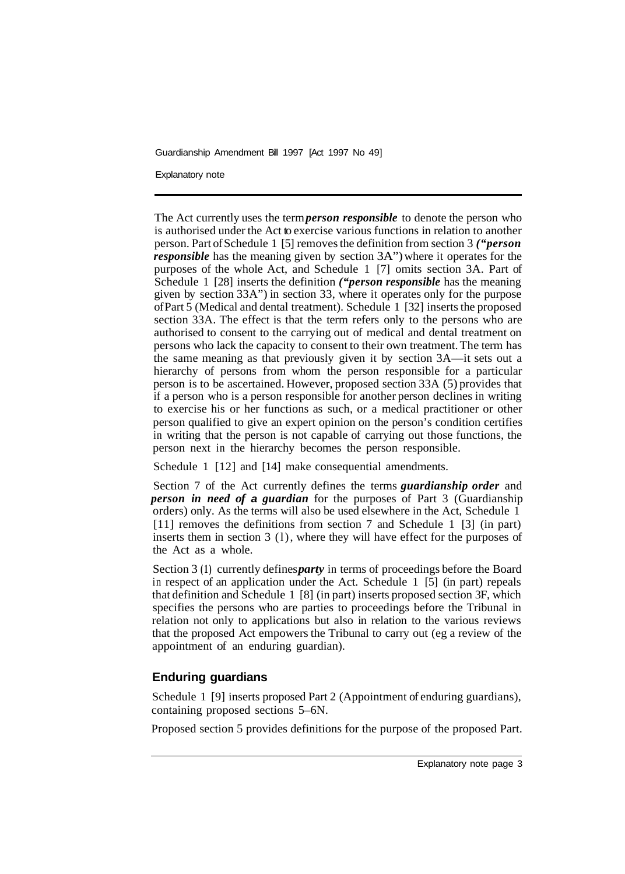Explanatory note

The Act currently uses the term *person responsible* to denote the person who is authorised under the Act to exercise various functions in relation to another person. Part of Schedule 1 [5] removes the definition from section 3 *("person responsible* has the meaning given by section 3A") where it operates for the purposes of the whole Act, and Schedule 1 [7] omits section 3A. Part of Schedule 1 [28] inserts the definition *("person responsible* has the meaning given by section 33A") in section 33, where it operates only for the purpose of Part 5 (Medical and dental treatment). Schedule 1 [32] inserts the proposed section 33A. The effect is that the term refers only to the persons who are authorised to consent to the carrying out of medical and dental treatment on persons who lack the capacity to consent to their own treatment. The term has the same meaning as that previously given it by section 3A—it sets out a hierarchy of persons from whom the person responsible for a particular person is to be ascertained. However, proposed section 33A (5) provides that if a person who is a person responsible for another person declines in writing to exercise his or her functions as such, or a medical practitioner or other person qualified to give an expert opinion on the person's condition certifies in writing that the person is not capable of carrying out those functions, the person next in the hierarchy becomes the person responsible.

Schedule 1 [12] and [14] make consequential amendments.

Section 7 of the Act currently defines the terms *guardianship order* and *person in need of a guardian* for the purposes of Part 3 (Guardianship orders) only. As the terms will also be used elsewhere in the Act, Schedule 1 [11] removes the definitions from section 7 and Schedule 1 [3] (in part) inserts them in section 3 (l), where they will have effect for the purposes of the Act as a whole.

Section 3 (1) currently defines *party* in terms of proceedings before the Board in respect of an application under the Act. Schedule 1 [5] (in part) repeals that definition and Schedule 1 [8] (in part) inserts proposed section 3F, which specifies the persons who are parties to proceedings before the Tribunal in relation not only to applications but also in relation to the various reviews that the proposed Act empowers the Tribunal to carry out (eg a review of the appointment of an enduring guardian).

# **Enduring guardians**

Schedule 1 [9] inserts proposed Part 2 (Appointment of enduring guardians), containing proposed sections 5–6N.

Proposed section 5 provides definitions for the purpose of the proposed Part.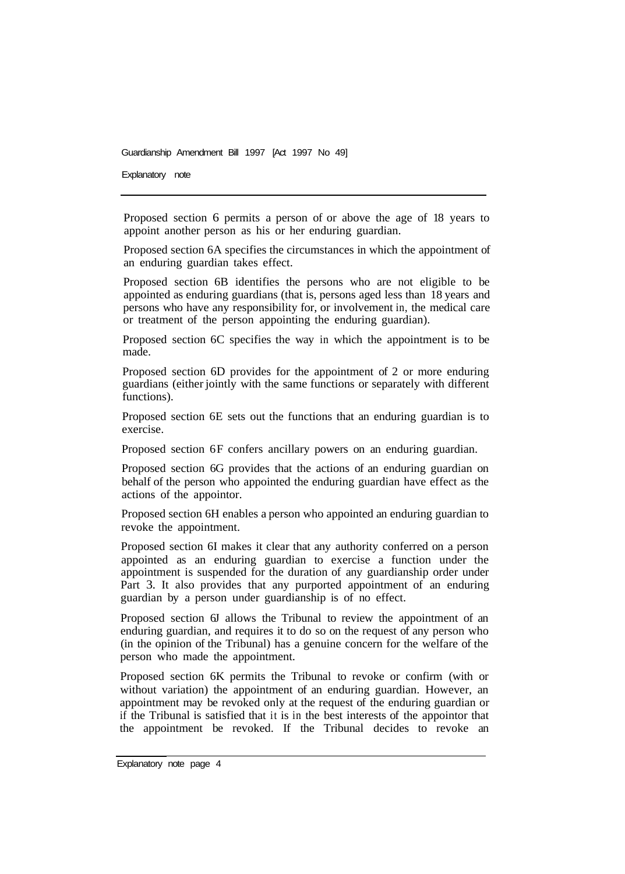Explanatory note

Proposed section 6 permits a person of or above the age of 18 years to appoint another person as his or her enduring guardian.

Proposed section 6A specifies the circumstances in which the appointment of an enduring guardian takes effect.

Proposed section 6B identifies the persons who are not eligible to be appointed as enduring guardians (that is, persons aged less than 18 years and persons who have any responsibility for, or involvement in, the medical care or treatment of the person appointing the enduring guardian).

Proposed section 6C specifies the way in which the appointment is to be made.

Proposed section 6D provides for the appointment of 2 or more enduring guardians (either jointly with the same functions or separately with different functions).

Proposed section 6E sets out the functions that an enduring guardian is to exercise.

Proposed section 6F confers ancillary powers on an enduring guardian.

Proposed section 6G provides that the actions of an enduring guardian on behalf of the person who appointed the enduring guardian have effect as the actions of the appointor.

Proposed section 6H enables a person who appointed an enduring guardian to revoke the appointment.

Proposed section 6I makes it clear that any authority conferred on a person appointed as an enduring guardian to exercise a function under the appointment is suspended for the duration of any guardianship order under Part 3. It also provides that any purported appointment of an enduring guardian by a person under guardianship is of no effect.

Proposed section 6J allows the Tribunal to review the appointment of an enduring guardian, and requires it to do so on the request of any person who (in the opinion of the Tribunal) has a genuine concern for the welfare of the person who made the appointment.

Proposed section 6K permits the Tribunal to revoke or confirm (with or without variation) the appointment of an enduring guardian. However, an appointment may be revoked only at the request of the enduring guardian or if the Tribunal is satisfied that it is in the best interests of the appointor that the appointment be revoked. If the Tribunal decides to revoke an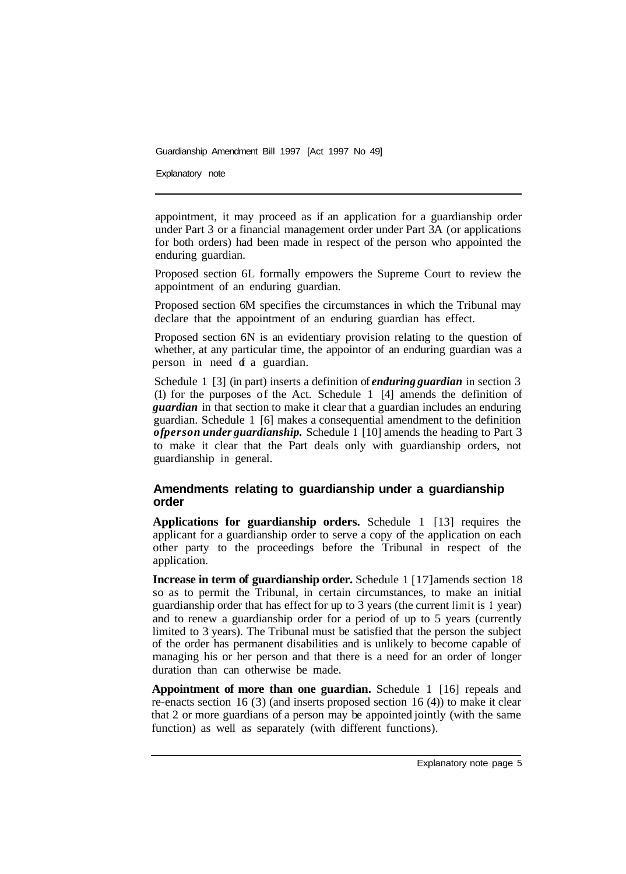Explanatory note

appointment, it may proceed as if an application for a guardianship order under Part 3 or a financial management order under Part 3A (or applications for both orders) had been made in respect of the person who appointed the enduring guardian.

Proposed section 6L formally empowers the Supreme Court to review the appointment of an enduring guardian.

Proposed section 6M specifies the circumstances in which the Tribunal may declare that the appointment of an enduring guardian has effect.

Proposed section 6N is an evidentiary provision relating to the question of whether, at any particular time, the appointor of an enduring guardian was a person in need of a guardian.

Schedule 1 [3] (in part) inserts a definition of *enduring guardian* in section 3 (1) for the purposes of the Act. Schedule 1 [4] amends the definition of *guardian* in that section to make it clear that a guardian includes an enduring guardian. Schedule 1 [6] makes a consequential amendment to the definition *of person under guardianship.* Schedule **1** [10] amends the heading to Part 3 to make it clear that the Part deals only with guardianship orders, not guardianship in general.

# **Amendments relating to guardianship under a guardianship order**

**Applications for guardianship orders.** Schedule 1 [13] requires the applicant for a guardianship order to serve a copy of the application on each other party to the proceedings before the Tribunal in respect of the application.

**Increase in term of guardianship order.** Schedule 1 [17] amends section 18 so as to permit the Tribunal, in certain circumstances, to make an initial guardianship order that has effect for up to 3 years (the current limit is **1** year) and to renew a guardianship order for a period of up to 5 years (currently limited to 3 years). The Tribunal must be satisfied that the person the subject of the order has permanent disabilities and is unlikely to become capable of managing his or her person and that there is a need for an order of longer duration than can otherwise be made.

**Appointment of more than one guardian.** Schedule 1 [16] repeals and re-enacts section 16 (3) (and inserts proposed section 16 (4)) to make it clear that 2 or more guardians of a person may be appointed jointly (with the same function) as well as separately (with different functions).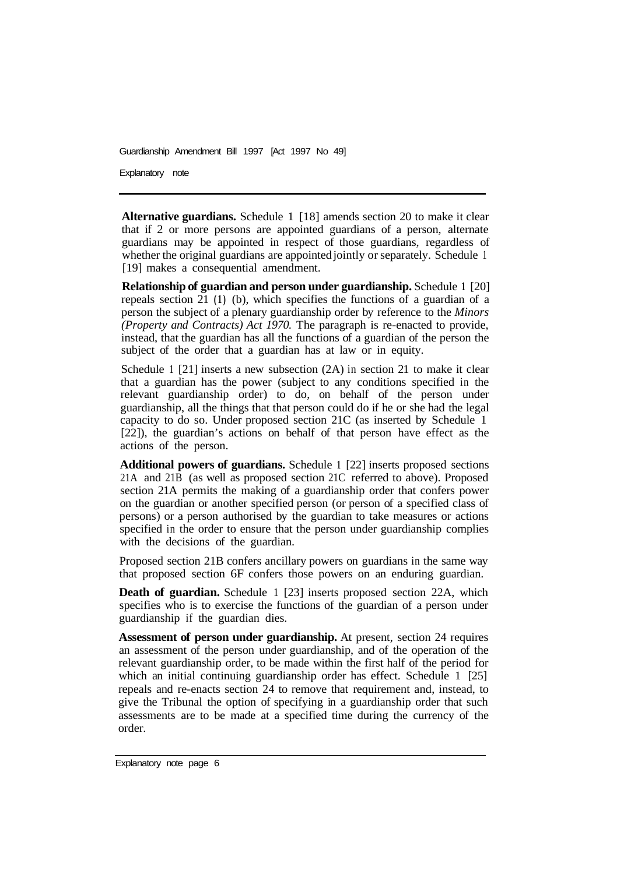Explanatory note

**Alternative guardians.** Schedule 1 [18] amends section 20 to make it clear that if 2 or more persons are appointed guardians of a person, alternate guardians may be appointed in respect of those guardians, regardless of whether the original guardians are appointed jointly or separately. Schedule 1 [19] makes a consequential amendment.

**Relationship of guardian and person under guardianship. Schedule 1 [20]** repeals section 21 **(1)** (b), which specifies the functions of a guardian of a person the subject of a plenary guardianship order by reference to the *Minors (Property and Contracts) Act 1970.* The paragraph is re-enacted to provide, instead, that the guardian has all the functions of a guardian of the person the subject of the order that a guardian has at law or in equity.

Schedule 1 [21] inserts a new subsection (2A) in section 21 to make it clear that a guardian has the power (subject to any conditions specified in the relevant guardianship order) to do, on behalf of the person under guardianship, all the things that that person could do if he or she had the legal capacity to do so. Under proposed section 21C (as inserted by Schedule 1 [22]), the guardian's actions on behalf of that person have effect as the actions of the person.

**Additional powers of guardians.** Schedule **1** [22] inserts proposed sections 21A and 21B (as well as proposed section 21C referred to above). Proposed section 21A permits the making of a guardianship order that confers power on the guardian or another specified person (or person of a specified class of persons) or a person authorised by the guardian to take measures or actions specified in the order to ensure that the person under guardianship complies with the decisions of the guardian.

Proposed section 21B confers ancillary powers on guardians in the same way that proposed section 6F confers those powers on an enduring guardian.

**Death of guardian.** Schedule 1 [23] inserts proposed section 22A, which specifies who is to exercise the functions of the guardian of a person under guardianship if the guardian dies.

**Assessment of person under guardianship.** At present, section 24 requires an assessment of the person under guardianship, and of the operation of the relevant guardianship order, to be made within the first half of the period for which an initial continuing guardianship order has effect. Schedule 1 [25] repeals and re-enacts section 24 to remove that requirement and, instead, to give the Tribunal the option of specifying in a guardianship order that such assessments are to be made at a specified time during the currency of the order.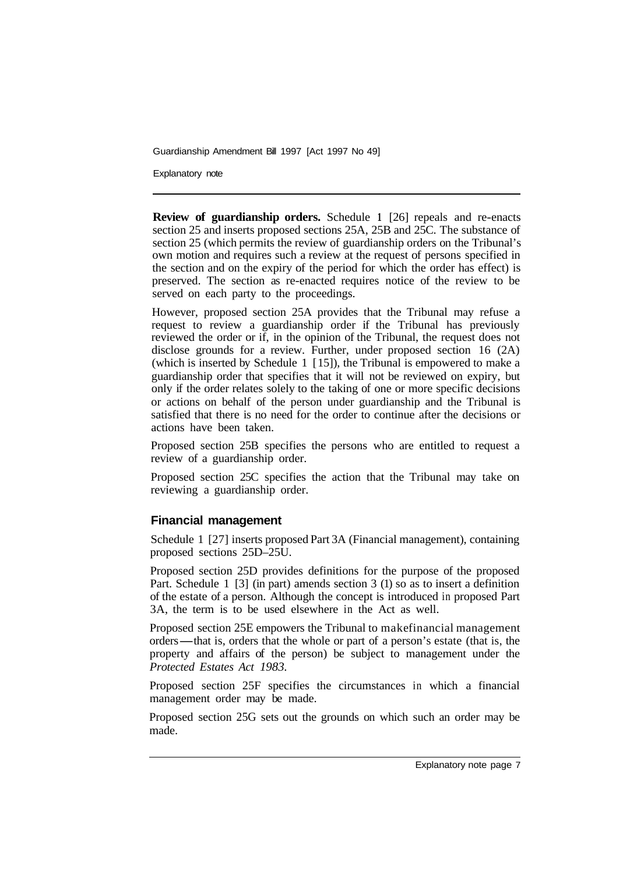Explanatory note

**Review of guardianship orders.** Schedule **1** [26] repeals and re-enacts section 25 and inserts proposed sections 25A, 25B and 25C. The substance of section 25 (which permits the review of guardianship orders on the Tribunal's own motion and requires such a review at the request of persons specified in the section and on the expiry of the period for which the order has effect) is preserved. The section as re-enacted requires notice of the review to be served on each party to the proceedings.

However, proposed section 25A provides that the Tribunal may refuse a request to review a guardianship order if the Tribunal has previously reviewed the order or if, in the opinion of the Tribunal, the request does not disclose grounds for a review. Further, under proposed section 16 (2A) (which is inserted by Schedule 1 [ 15]), the Tribunal is empowered to make a guardianship order that specifies that it will not be reviewed on expiry, but only if the order relates solely to the taking of one or more specific decisions or actions on behalf of the person under guardianship and the Tribunal is satisfied that there is no need for the order to continue after the decisions or actions have been taken.

Proposed section 25B specifies the persons who are entitled to request a review of a guardianship order.

Proposed section 25C specifies the action that the Tribunal may take on reviewing a guardianship order.

### **Financial management**

Schedule 1 [27] inserts proposed Part 3A (Financial management), containing proposed sections 25D–25U.

Proposed section 25D provides definitions for the purpose of the proposed Part. Schedule 1 [3] (in part) amends section 3 (1) so as to insert a definition of the estate of a person. Although the concept is introduced in proposed Part 3A, the term is to be used elsewhere in the Act as well.

Proposed section 25E empowers the Tribunal to make financial management 3A, the term is to be used elsewhere in the Act as well.<br>Proposed section 25E empowers the Tribunal to makefinancial management<br>orders—that is, orders that the whole or part of a person's estate (that is, the<br>property and property and affairs of the person) be subject to management under the *Protected Estates Act 1983.* 

Proposed section 25F specifies the circumstances in which a financial management order may be made.

Proposed section 25G sets out the grounds on which such an order may be made.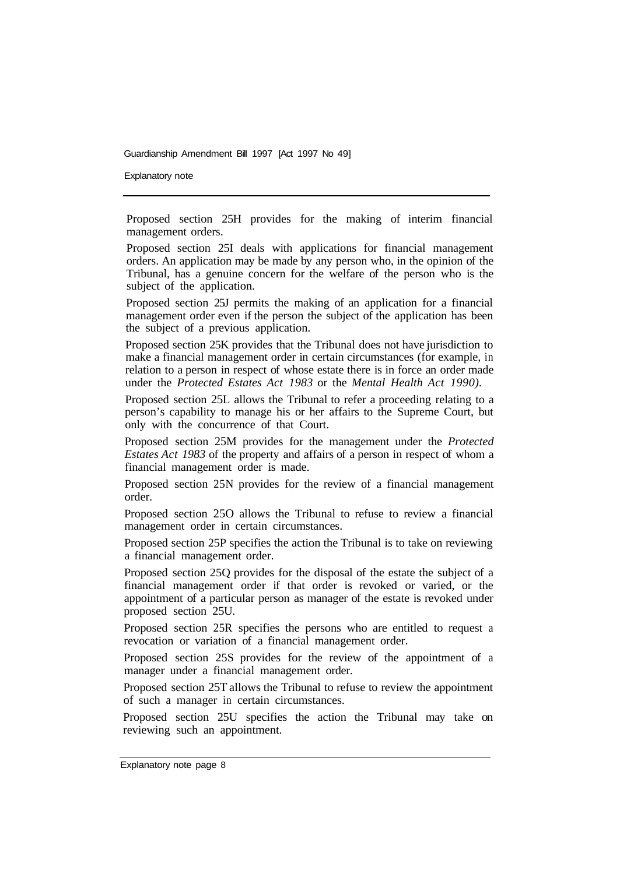Explanatory note

Proposed section 25H provides for the making of interim financial management orders.

Proposed section 25I deals with applications for financial management orders. An application may be made by any person who, in the opinion of the Tribunal, has a genuine concern for the welfare of the person who is the subject of the application.

Proposed section 25J permits the making of an application for a financial management order even if the person the subject of the application has been the subject of a previous application.

Proposed section 25K provides that the Tribunal does not have jurisdiction to make a financial management order in certain circumstances (for example, in relation to a person in respect of whose estate there is in force an order made under the *Protected Estates Act 1983* or the *Mental Health Act 1990).* 

Proposed section 25L allows the Tribunal to refer a proceeding relating to a person's capability to manage his or her affairs to the Supreme Court, but only with the concurrence of that Court.

Proposed section 25M provides for the management under the *Protected Estates Act 1983* of the property and affairs of a person in respect of whom a financial management order is made.

Proposed section 25N provides for the review of a financial management order.

Proposed section 25O allows the Tribunal to refuse to review a financial management order in certain circumstances.

Proposed section 25P specifies the action the Tribunal is to take on reviewing a financial management order.

Proposed section 25Q provides for the disposal of the estate the subject of a financial management order if that order is revoked or varied, or the appointment of a particular person as manager of the estate is revoked under proposed section 25U.

Proposed section 25R specifies the persons who are entitled to request a revocation or variation of a financial management order.

Proposed section 25S provides for the review of the appointment of a manager under a financial management order.

Proposed section 25T allows the Tribunal to refuse to review the appointment of such a manager in certain circumstances.

Proposed section 25U specifies the action the Tribunal may take on reviewing such an appointment.

Explanatory note page 8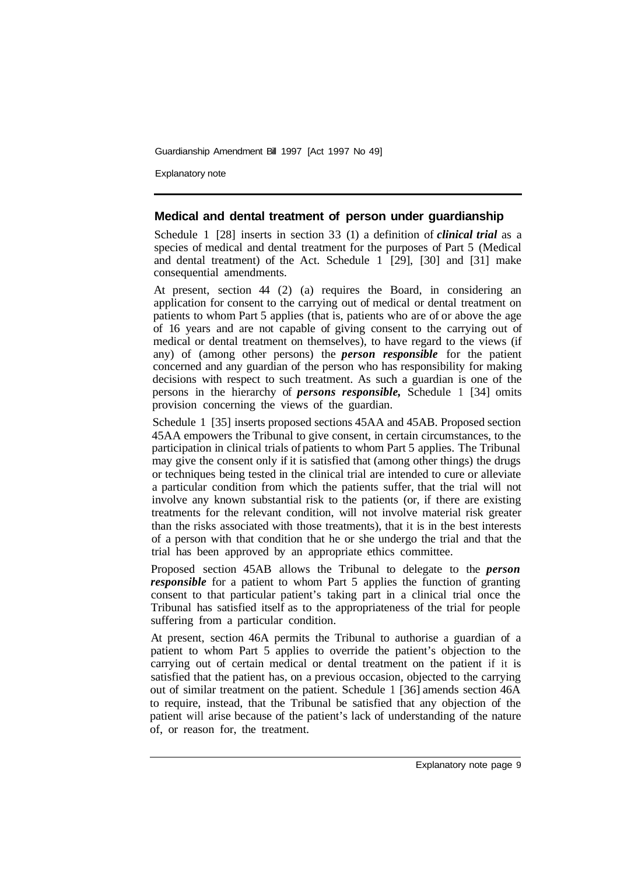Explanatory note

### **Medical and dental treatment of person under guardianship**

Schedule 1 [28] inserts in section 33 (1) a definition of *clinical trial* as a species of medical and dental treatment for the purposes of Part 5 (Medical and dental treatment) of the Act. Schedule  $1 \overline{29}$ ,  $[30]$  and  $[31]$  make consequential amendments.

At present, section 44 (2) (a) requires the Board, in considering an application for consent to the carrying out of medical or dental treatment on patients to whom Part 5 applies (that is, patients who are of or above the age of 16 years and are not capable of giving consent to the carrying out of medical or dental treatment on themselves), to have regard to the views (if any) of (among other persons) the *person responsible* for the patient concerned and any guardian of the person who has responsibility for making decisions with respect to such treatment. As such a guardian is one of the persons in the hierarchy of *persons responsible,* Schedule 1 [34] omits provision concerning the views of the guardian.

Schedule 1 [35] inserts proposed sections 45AA and 45AB. Proposed section 45AA empowers the Tribunal to give consent, in certain circumstances, to the participation in clinical trials of patients to whom Part 5 applies. The Tribunal may give the consent only if it is satisfied that (among other things) the drugs or techniques being tested in the clinical trial are intended to cure or alleviate a particular condition from which the patients suffer, that the trial will not involve any known substantial risk to the patients (or, if there are existing treatments for the relevant condition, will not involve material risk greater than the risks associated with those treatments), that it is in the best interests of a person with that condition that he or she undergo the trial and that the trial has been approved by an appropriate ethics committee.

Proposed section 45AB allows the Tribunal to delegate to the *person responsible* for a patient to whom Part 5 applies the function of granting consent to that particular patient's taking part in a clinical trial once the Tribunal has satisfied itself as to the appropriateness of the trial for people suffering from a particular condition.

At present, section 46A permits the Tribunal to authorise a guardian of a patient to whom Part 5 applies to override the patient's objection to the carrying out of certain medical or dental treatment on the patient if it is satisfied that the patient has, on a previous occasion, objected to the carrying out of similar treatment on the patient. Schedule 1 [36] amends section 46A to require, instead, that the Tribunal be satisfied that any objection of the patient will arise because of the patient's lack of understanding of the nature of, or reason for, the treatment.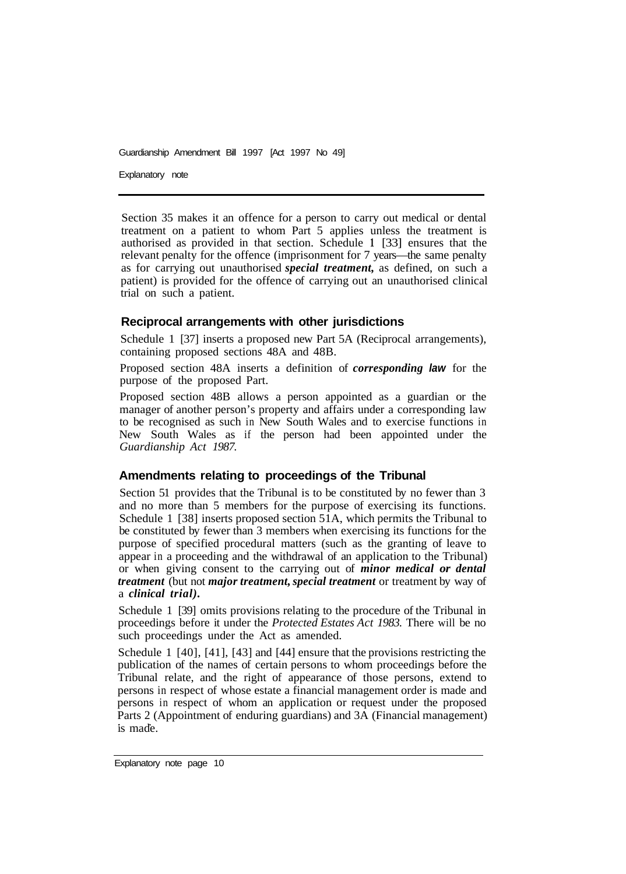Explanatory note

Section 35 makes it an offence for a person to carry out medical or dental treatment on a patient to whom Part 5 applies unless the treatment is authorised as provided in that section. Schedule **1** [33] ensures that the relevant penalty for the offence (imprisonment for 7 years—the same penalty as for carrying out unauthorised *special treatment,* as defined, on such a patient) is provided for the offence of carrying out an unauthorised clinical trial on such a patient.

## **Reciprocal arrangements with other jurisdictions**

Schedule 1 [37] inserts a proposed new Part 5A (Reciprocal arrangements), containing proposed sections 48A and 48B.

Proposed section 48A inserts a definition of *corresponding law* for the purpose of the proposed Part.

Proposed section 48B allows a person appointed as a guardian or the manager of another person's property and affairs under a corresponding law to be recognised as such in New South Wales and to exercise functions in New South Wales as if the person had been appointed under the *Guardianship Act 1987.* 

### **Amendments relating to proceedings of the Tribunal**

Section 51 provides that the Tribunal is to be constituted by no fewer than 3 and no more than 5 members for the purpose of exercising its functions. Schedule 1 [38] inserts proposed section  $51A$ , which permits the Tribunal to be constituted by fewer than 3 members when exercising its functions for the purpose of specified procedural matters (such as the granting of leave to appear in a proceeding and the withdrawal of an application to the Tribunal) or when giving consent to the carrying out of *minor medical or dental treatment* (but not *major treatment, special treatment* or treatment by way of a *clinical trial).* 

Schedule 1 [39] omits provisions relating to the procedure of the Tribunal in proceedings before it under the *Protected Estates Act 1983.* There will be no such proceedings under the Act as amended.

Schedule 1 [40], [41], [43] and [44] ensure that the provisions restricting the publication of the names of certain persons to whom proceedings before the Tribunal relate, and the right of appearance of those persons, extend to persons in respect of whose estate a financial management order is made and persons in respect of whom an application or request under the proposed Parts 2 (Appointment of enduring guardians) and 3A (Financial management) is made.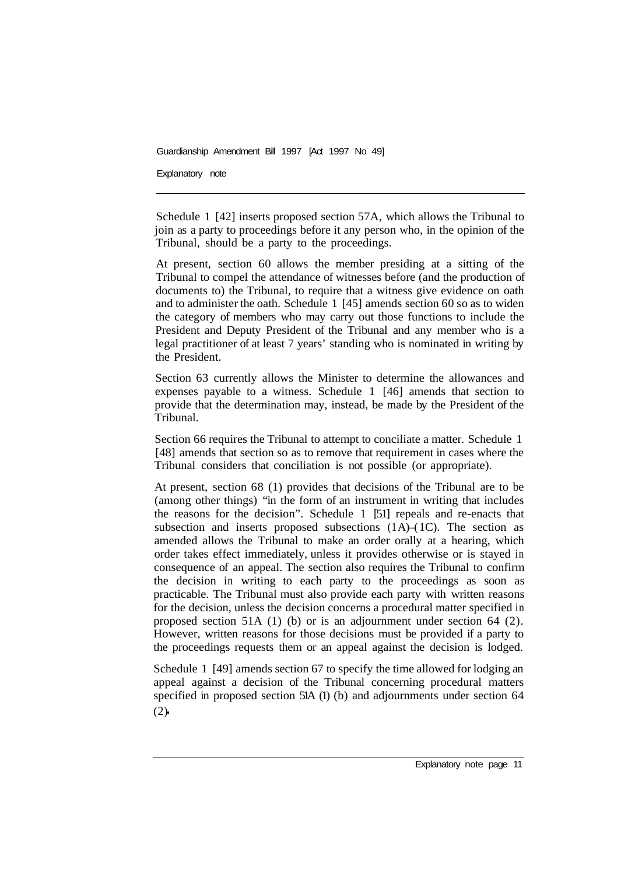Explanatory note

Schedule 1 [42] inserts proposed section 57A, which allows the Tribunal to join as a party to proceedings before it any person who, in the opinion of the Tribunal, should be a party to the proceedings.

At present, section 60 allows the member presiding at a sitting of the Tribunal to compel the attendance of witnesses before (and the production of documents to) the Tribunal, to require that a witness give evidence on oath and to administer the oath. Schedule 1 [45] amends section 60 so as to widen the category of members who may carry out those functions to include the President and Deputy President of the Tribunal and any member who is a legal practitioner of at least 7 years' standing who is nominated in writing by the President.

Section 63 currently allows the Minister to determine the allowances and expenses payable to a witness. Schedule 1 [46] amends that section to provide that the determination may, instead, be made by the President of the Tribunal.

Section 66 requires the Tribunal to attempt to conciliate a matter. Schedule 1 [48] amends that section so as to remove that requirement in cases where the Tribunal considers that conciliation is not possible (or appropriate).

At present, section 68 (1) provides that decisions of the Tribunal are to be (among other things) "in the form of an instrument in writing that includes the reasons for the decision". Schedule 1 [51] repeals and re-enacts that subsection and inserts proposed subsections  $(1A)$ – $(1C)$ . The section as amended allows the Tribunal to make an order orally at a hearing, which order takes effect immediately, unless it provides otherwise or is stayed in consequence of an appeal. The section also requires the Tribunal to confirm the decision in writing to each party to the proceedings as soon as practicable. The Tribunal must also provide each party with written reasons for the decision, unless the decision concerns a procedural matter specified in proposed section 51A (1) (b) or is an adjournment under section 64 (2). However, written reasons for those decisions must be provided if a party to the proceedings requests them or an appeal against the decision is lodged.

Schedule 1 [49] amends section 67 to specify the time allowed for lodging an appeal against a decision of the Tribunal concerning procedural matters specified in proposed section 51A (1) (b) and adjournments under section 64  $(2)$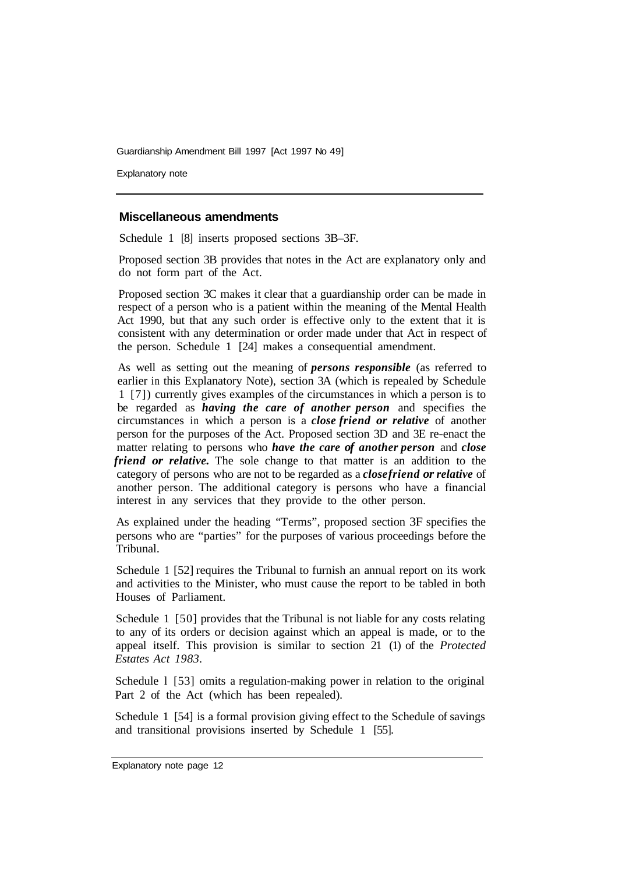Explanatory note

#### **Miscellaneous amendments**

Schedule 1 [8] inserts proposed sections 3B–3F.

Proposed section 3B provides that notes in the Act are explanatory only and do not form part of the Act.

Proposed section 3C makes it clear that a guardianship order can be made in respect of a person who is a patient within the meaning of the Mental Health Act 1990, but that any such order is effective only to the extent that it is consistent with any determination or order made under that Act in respect of the person. Schedule 1 [24] makes a consequential amendment.

As well as setting out the meaning of *persons responsible* (as referred to earlier in this Explanatory Note), section 3A (which is repealed by Schedule 1 [7]) currently gives examples of the circumstances in which a person is to be regarded as *having the care of another person* and specifies the circumstances in which a person is a *close friend or relative* of another person for the purposes of the Act. Proposed section 3D and 3E re-enact the matter relating to persons who *have the care of another person* and *close friend or relative.* The sole change to that matter is an addition to the category of persons who are not to be regarded as a *close friend or relative* of another person. The additional category is persons who have a financial interest in any services that they provide to the other person.

As explained under the heading "Terms", proposed section 3F specifies the persons who are "parties" for the purposes of various proceedings before the Tribunal.

Schedule 1 [52] requires the Tribunal to furnish an annual report on its work and activities to the Minister, who must cause the report to be tabled in both Houses of Parliament.

Schedule 1 [50] provides that the Tribunal is not liable for any costs relating to any of its orders or decision against which an appeal is made, or to the appeal itself. This provision is similar to section 21 (1) of the *Protected Estates Act 1983.* 

Schedule l [53] omits a regulation-making power in relation to the original Part 2 of the Act (which has been repealed).

Schedule 1 [54] is a formal provision giving effect to the Schedule of savings and transitional provisions inserted by Schedule 1 [55].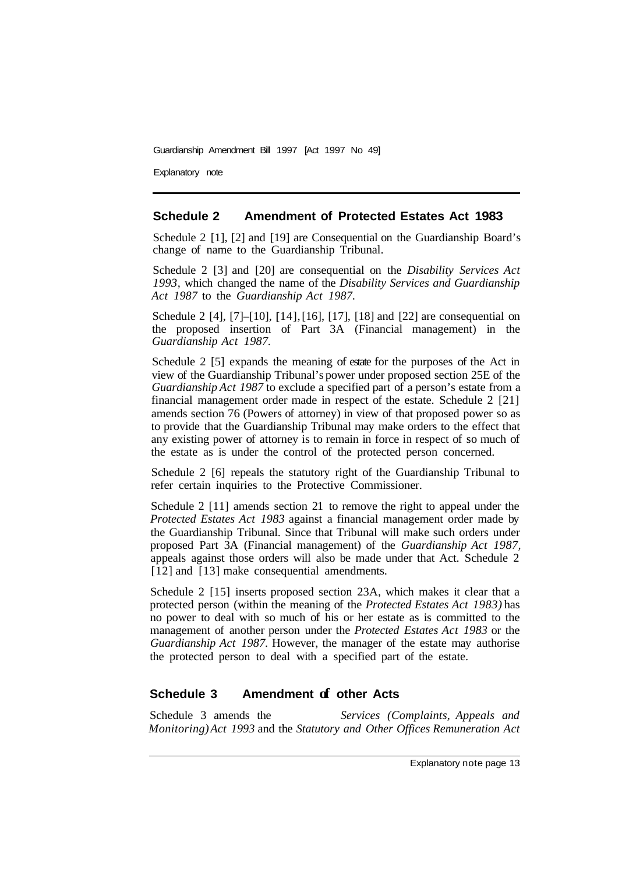Explanatory note

#### **Schedule 2 Amendment of Protected Estates Act 1983**

Schedule 2 [1], [2] and [19] are Consequential on the Guardianship Board's change of name to the Guardianship Tribunal.

Schedule 2 [3] and [20] are consequential on the *Disability Services Act 1993,* which changed the name of the *Disability Services and Guardianship Act 1987* to the *Guardianship Act 1987.* 

Schedule 2 [4], [7]–[10], [ 14], [16], [17], [18] and [22] are consequential on the proposed insertion of Part 3A (Financial management) in the *Guardianship Act 1987.* 

Schedule 2 [5] expands the meaning of estate for the purposes of the Act in view of the Guardianship Tribunal's power under proposed section 25E of the *Guardianship Act 1987* to exclude a specified part of a person's estate from a financial management order made in respect of the estate. Schedule 2 [21] amends section 76 (Powers of attorney) in view of that proposed power so as to provide that the Guardianship Tribunal may make orders to the effect that any existing power of attorney is to remain in force in respect of so much of the estate as is under the control of the protected person concerned.

Schedule 2 [6] repeals the statutory right of the Guardianship Tribunal to refer certain inquiries to the Protective Commissioner.

Schedule 2 [11] amends section 21 to remove the right to appeal under the *Protected Estates Act 1983* against a financial management order made by the Guardianship Tribunal. Since that Tribunal will make such orders under proposed Part 3A (Financial management) of the *Guardianship Act 1987,*  appeals against those orders will also be made under that Act. Schedule 2 [12] and [13] make consequential amendments.

Schedule 2 [15] inserts proposed section 23A, which makes it clear that a protected person (within the meaning of the *Protected Estates Act 1983)* has no power to deal with so much of his or her estate as is committed to the management of another person under the *Protected Estates Act 1983* or the *Guardianship Act 1987.* However, the manager of the estate may authorise the protected person to deal with a specified part of the estate.

# **Schedule 3 Amendment of other Acts**

Schedule 3 amends the *Services (Complaints, Appeals and Monitoring) Act 1993* and the *Statutory and Other Offices Remuneration Act*